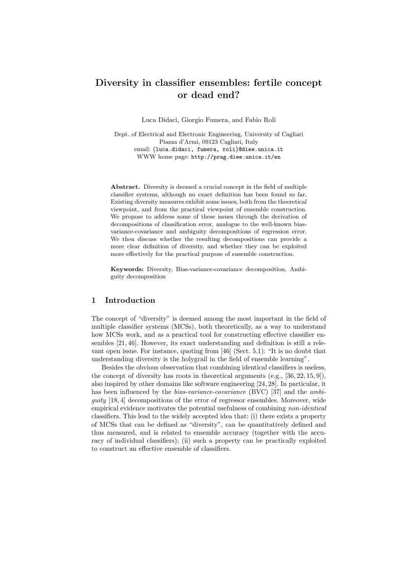# Diversity in classifier ensembles: fertile concept or dead end?

Luca Didaci, Giorgio Fumera, and Fabio Roli

Dept. of Electrical and Electronic Engineering, University of Cagliari Piazza d'Armi, 09123 Cagliari, Italy email: {luca.didaci, fumera, roli}@diee.unica.it WWW home page: http://prag.diee.unica.it/en

Abstract. Diversity is deemed a crucial concept in the field of multiple classifier systems, although no exact definition has been found so far. Existing diversity measures exhibit some issues, both from the theoretical viewpoint, and from the practical viewpoint of ensemble construction. We propose to address some of these issues through the derivation of decompositions of classification error, analogue to the well-known biasvariance-covariance and ambiguity decompositions of regression error. We then discuss whether the resulting decompositions can provide a more clear definition of diversity, and whether they can be exploited more effectively for the practical purpose of ensemble construction.

Keywords: Diversity, Bias-variance-covariance decomposition, Ambiguity decomposition

# 1 Introduction

The concept of "diversity" is deemed among the most important in the field of multiple classifier systems (MCSs), both theoretically, as a way to understand how MCSs work, and as a practical tool for constructing effective classifier ensembles [21, 46]. However, its exact understanding and definition is still a relevant open issue. For instance, quoting from [46] (Sect. 5.1): "It is no doubt that understanding diversity is the holygrail in the field of ensemble learning".

Besides the obvious observation that combining identical classifiers is useless, the concept of diversity has roots in theoretical arguments  $(e.g., [36, 22, 15, 9])$ , also inspired by other domains like software engineering [24, 28]. In particular, it has been influenced by the *bias-variance-covariance* (BVC) [37] and the *ambi*guity [18, 4] decompositions of the error of regressor ensembles. Moreover, wide empirical evidence motivates the potential usefulness of combining *non-identical* classifiers. This lead to the widely accepted idea that: (i) there exists a property of MCSs that can be defined as "diversity", can be quantitatively defined and thus measured, and is related to ensemble accuracy (together with the accuracy of individual classifiers); (ii) such a property can be practically exploited to construct an effective ensemble of classifiers.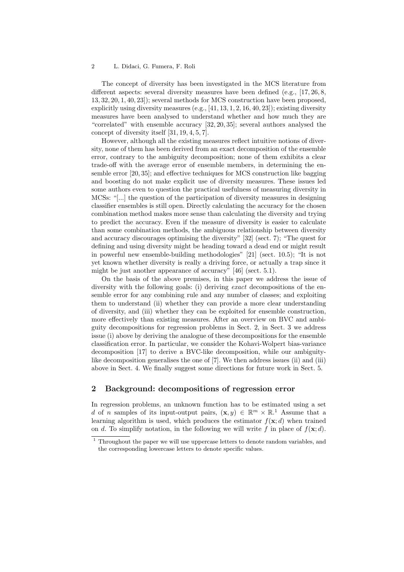The concept of diversity has been investigated in the MCS literature from different aspects: several diversity measures have been defined (e.g., [17, 26, 8, 13, 32, 20, 1, 40, 23]); several methods for MCS construction have been proposed, explicitly using diversity measures  $(e.g., [41, 13, 1, 2, 16, 40, 23])$ ; existing diversity measures have been analysed to understand whether and how much they are "correlated" with ensemble accuracy [32, 20, 35]; several authors analysed the concept of diversity itself [31, 19, 4, 5, 7].

However, although all the existing measures reflect intuitive notions of diversity, none of them has been derived from an exact decomposition of the ensemble error, contrary to the ambiguity decomposition; none of them exhibits a clear trade-off with the average error of ensemble members, in determining the ensemble error [20, 35]; and effective techniques for MCS construction like bagging and boosting do not make explicit use of diversity measures. These issues led some authors even to question the practical usefulness of measuring diversity in MCSs: "[...] the question of the participation of diversity measures in designing classifier ensembles is still open. Directly calculating the accuracy for the chosen combination method makes more sense than calculating the diversity and trying to predict the accuracy. Even if the measure of diversity is easier to calculate than some combination methods, the ambiguous relationship between diversity and accuracy discourages optimising the diversity" [32] (sect. 7); "The quest for defining and using diversity might be heading toward a dead end or might result in powerful new ensemble-building methodologies" [21] (sect. 10.5); "It is not yet known whether diversity is really a driving force, or actually a trap since it might be just another appearance of accuracy" [46] (sect. 5.1).

On the basis of the above premises, in this paper we address the issue of diversity with the following goals: (i) deriving exact decompositions of the ensemble error for any combining rule and any number of classes; and exploiting them to understand (ii) whether they can provide a more clear understanding of diversity, and (iii) whether they can be exploited for ensemble construction, more effectively than existing measures. After an overview on BVC and ambiguity decompositions for regression problems in Sect. 2, in Sect. 3 we address issue (i) above by deriving the analogue of these decompositions for the ensemble classification error. In particular, we consider the Kohavi-Wolpert bias-variance decomposition [17] to derive a BVC-like decomposition, while our ambiguitylike decomposition generalises the one of [7]. We then address issues (ii) and (iii) above in Sect. 4. We finally suggest some directions for future work in Sect. 5.

# 2 Background: decompositions of regression error

In regression problems, an unknown function has to be estimated using a set d of n samples of its input-output pairs,  $(\mathbf{x}, y) \in \mathbb{R}^m \times \mathbb{R}^1$ . Assume that a learning algorithm is used, which produces the estimator  $f(\mathbf{x}; d)$  when trained on d. To simplify notation, in the following we will write f in place of  $f(\mathbf{x}; d)$ .

 $1$  Throughout the paper we will use uppercase letters to denote random variables, and the corresponding lowercase letters to denote specific values.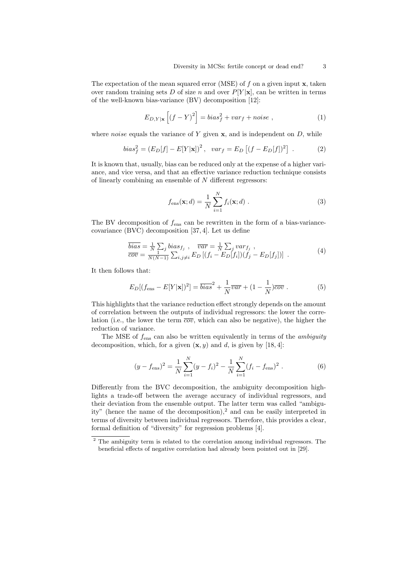The expectation of the mean squared error (MSE) of  $f$  on a given input  $x$ , taken over random training sets D of size n and over  $P[Y|\mathbf{x}]$ , can be written in terms of the well-known bias-variance (BV) decomposition [12]:

$$
E_{D,Y|\mathbf{x}}\left[\left(f-Y\right)^{2}\right] = bias_{f}^{2} + var_{f} + noise , \qquad (1)
$$

where *noise* equals the variance of Y given  $x$ , and is independent on  $D$ , while

$$
bias_f^2 = (E_D[f] - E[Y|\mathbf{x}])^2, \quad var_f = E_D [(f - E_D[f])^2].
$$
 (2)

It is known that, usually, bias can be reduced only at the expense of a higher variance, and vice versa, and that an effective variance reduction technique consists of linearly combining an ensemble of N different regressors:

$$
f_{\text{ens}}(\mathbf{x}; d) = \frac{1}{N} \sum_{i=1}^{N} f_i(\mathbf{x}; d) .
$$
 (3)

The BV decomposition of  $f_{\text{ens}}$  can be rewritten in the form of a bias-variancecovariance (BVC) decomposition [37, 4]. Let us define

$$
\overline{bias} = \frac{1}{N} \sum_{j} bias_{f_j}, \quad \overline{var} = \frac{1}{N} \sum_{j} var_{f_j}, \n\overline{cov} = \frac{1}{N(N-1)} \sum_{i,j \neq i} E_D [(f_i - E_D[f_i])(f_j - E_D[f_j])].
$$
\n(4)

It then follows that:

$$
E_D[(f_{\text{ens}} - E[Y|\mathbf{x}])^2] = \overline{bias}^2 + \frac{1}{N}\overline{var} + (1 - \frac{1}{N})\overline{cov}.
$$
 (5)

This highlights that the variance reduction effect strongly depends on the amount of correlation between the outputs of individual regressors: the lower the correlation (i.e., the lower the term  $\overline{cov}$ , which can also be negative), the higher the reduction of variance.

The MSE of  $f_{\text{ens}}$  can also be written equivalently in terms of the *ambiguity* decomposition, which, for a given  $(\mathbf{x}, y)$  and d, is given by [18, 4]:

$$
(y - f_{\text{ens}})^2 = \frac{1}{N} \sum_{i=1}^{N} (y - f_i)^2 - \frac{1}{N} \sum_{i=1}^{N} (f_i - f_{\text{ens}})^2.
$$
 (6)

Differently from the BVC decomposition, the ambiguity decomposition highlights a trade-off between the average accuracy of individual regressors, and their deviation from the ensemble output. The latter term was called "ambiguity" (hence the name of the decomposition), $^2$  and can be easily interpreted in terms of diversity between individual regressors. Therefore, this provides a clear, formal definition of "diversity" for regression problems [4].

 $^{\rm 2}$  The ambiguity term is related to the correlation among individual regressors. The beneficial effects of negative correlation had already been pointed out in [29].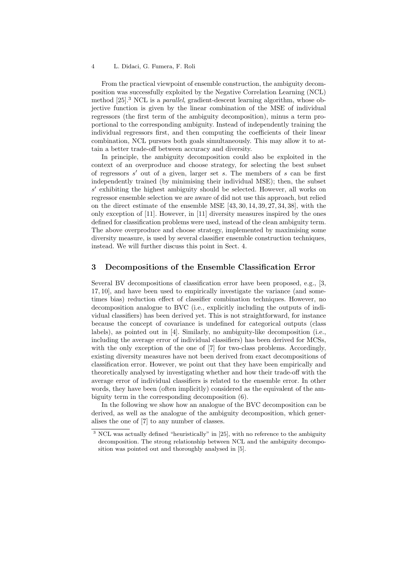From the practical viewpoint of ensemble construction, the ambiguity decomposition was successfully exploited by the Negative Correlation Learning (NCL) method [25].<sup>3</sup> NCL is a *parallel*, gradient-descent learning algorithm, whose objective function is given by the linear combination of the MSE of individual regressors (the first term of the ambiguity decomposition), minus a term proportional to the corresponding ambiguity. Instead of independently training the individual regressors first, and then computing the coefficients of their linear combination, NCL pursues both goals simultaneously. This may allow it to attain a better trade-off between accuracy and diversity.

In principle, the ambiguity decomposition could also be exploited in the context of an overproduce and choose strategy, for selecting the best subset of regressors  $s'$  out of a given, larger set s. The members of s can be first independently trained (by minimising their individual MSE); then, the subset s' exhibiting the highest ambiguity should be selected. However, all works on regressor ensemble selection we are aware of did not use this approach, but relied on the direct estimate of the ensemble MSE [43, 30, 14, 39, 27, 34, 38], with the only exception of [11]. However, in [11] diversity measures inspired by the ones defined for classification problems were used, instead of the clean ambiguity term. The above overproduce and choose strategy, implemented by maximising some diversity measure, is used by several classifier ensemble construction techniques, instead. We will further discuss this point in Sect. 4.

### 3 Decompositions of the Ensemble Classification Error

Several BV decompositions of classification error have been proposed, e.g., [3, 17, 10], and have been used to empirically investigate the variance (and sometimes bias) reduction effect of classifier combination techniques. However, no decomposition analogue to BVC (i.e., explicitly including the outputs of individual classifiers) has been derived yet. This is not straightforward, for instance because the concept of covariance is undefined for categorical outputs (class labels), as pointed out in [4]. Similarly, no ambiguity-like decomposition (i.e., including the average error of individual classifiers) has been derived for MCSs, with the only exception of the one of [7] for two-class problems. Accordingly, existing diversity measures have not been derived from exact decompositions of classification error. However, we point out that they have been empirically and theoretically analysed by investigating whether and how their trade-off with the average error of individual classifiers is related to the ensemble error. In other words, they have been (often implicitly) considered as the equivalent of the ambiguity term in the corresponding decomposition (6).

In the following we show how an analogue of the BVC decomposition can be derived, as well as the analogue of the ambiguity decomposition, which generalises the one of [7] to any number of classes.

<sup>&</sup>lt;sup>3</sup> NCL was actually defined "heuristically" in [25], with no reference to the ambiguity decomposition. The strong relationship between NCL and the ambiguity decomposition was pointed out and thoroughly analysed in [5].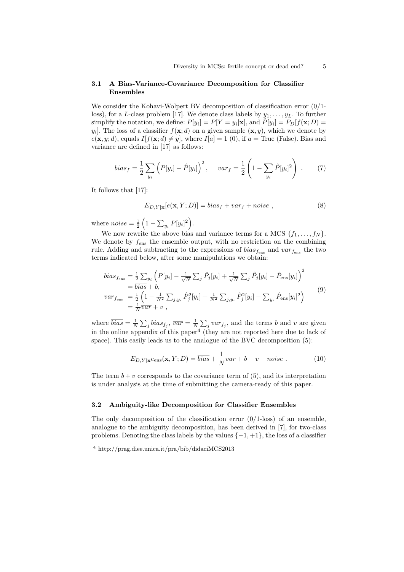### 3.1 A Bias-Variance-Covariance Decomposition for Classifier Ensembles

We consider the Kohavi-Wolpert BV decomposition of classification error  $(0/1$ loss), for a L-class problem [17]. We denote class labels by  $y_1, \ldots, y_L$ . To further simplify the notation, we define:  $P[y_i] = P[Y = y_i | \mathbf{x}]$ , and  $\tilde{P}[y_i] = P_D[f(\mathbf{x}; D)]$  $y_i$ . The loss of a classifier  $f(\mathbf{x}; d)$  on a given sample  $(\mathbf{x}, y)$ , which we denote by  $e(\mathbf{x}, y; d)$ , equals  $I[f(\mathbf{x}; d) \neq y]$ , where  $I[a] = 1$  (0), if  $a =$  True (False). Bias and variance are defined in [17] as follows:

$$
bias_f = \frac{1}{2} \sum_{y_i} \left( P[y_i] - \hat{P}[y_i] \right)^2, \quad var_f = \frac{1}{2} \left( 1 - \sum_{y_i} \hat{P}[y_i]^2 \right) . \tag{7}
$$

It follows that [17]:

$$
E_{D,Y|\mathbf{x}}[e(\mathbf{x}, Y; D)] = bias_f + var_f + noise ,
$$
\n(8)

where  $noise = \frac{1}{2} \left( 1 - \sum_{y_i} P[y_i]^2 \right)$ .

We now rewrite the above bias and variance terms for a MCS  $\{f_1, \ldots, f_N\}$ . We denote by  $f_{\text{ens}}$  the ensemble output, with no restriction on the combining rule. Adding and subtracting to the expressions of  $bias_{f_{\text{ens}}}$  and  $var_{f_{\text{ens}}}$  the two terms indicated below, after some manipulations we obtain:

$$
bias_{f_{\text{ens}}} = \frac{1}{2} \sum_{y_i} \left( P[y_i] - \frac{1}{\sqrt{N}} \sum_j \hat{P}_j[y_i] + \frac{1}{\sqrt{N}} \sum_j \hat{P}_j[y_i] - \hat{P}_{\text{ens}}[y_i] \right)^2
$$
  
\n
$$
= \overline{bias} + b,
$$
  
\n
$$
var_{f_{\text{ens}}} = \frac{1}{2} \left( 1 - \frac{1}{N^2} \sum_{j, y_i} \hat{P}_j^2[y_i] + \frac{1}{N^2} \sum_{j, y_i} \hat{P}_j^2[y_i] - \sum_{y_i} \hat{P}_{\text{ens}}[y_i]^2 \right)
$$
  
\n
$$
= \frac{1}{N} \overline{var} + v,
$$
  
\n(9)

where  $\overline{bias} = \frac{1}{N} \sum_j bias_{f_j}, \overline{var} = \frac{1}{N} \sum_j var_{f_j},$  and the terms b and v are given in the online appendix of this paper<sup>4</sup> (they are not reported here due to lack of space). This easily leads us to the analogue of the BVC decomposition (5):

$$
E_{D,Y|\mathbf{x}}e_{\text{ens}}(\mathbf{x},Y;D) = \overline{bias} + \frac{1}{N}\overline{var} + b + v + noise .
$$
 (10)

The term  $b + v$  corresponds to the covariance term of (5), and its interpretation is under analysis at the time of submitting the camera-ready of this paper.

# 3.2 Ambiguity-like Decomposition for Classifier Ensembles

The only decomposition of the classification error  $(0/1$ -loss) of an ensemble, analogue to the ambiguity decomposition, has been derived in [7], for two-class problems. Denoting the class labels by the values  $\{-1, +1\}$ , the loss of a classifier

<sup>4</sup> http://prag.diee.unica.it/pra/bib/didaciMCS2013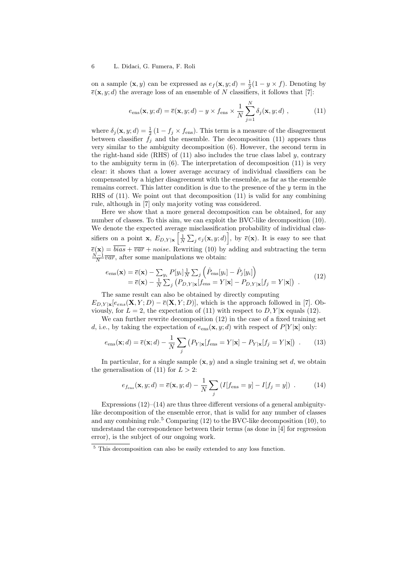on a sample  $(\mathbf{x}, y)$  can be expressed as  $e_f(\mathbf{x}, y; d) = \frac{1}{2}(1 - y \times f)$ . Denoting by  $\overline{e}(\mathbf{x}, y; d)$  the average loss of an ensemble of N classifiers, it follows that [7]:

$$
e_{\text{ens}}(\mathbf{x}, y; d) = \overline{e}(\mathbf{x}, y; d) - y \times f_{\text{ens}} \times \frac{1}{N} \sum_{j=1}^{N} \delta_j(\mathbf{x}, y; d) , \qquad (11)
$$

where  $\delta_j(\mathbf{x}, y; d) = \frac{1}{2} (1 - f_j \times f_{\text{ens}})$ . This term is a measure of the disagreement between classifier  $f_i$  and the ensemble. The decomposition (11) appears thus very similar to the ambiguity decomposition (6). However, the second term in the right-hand side (RHS) of  $(11)$  also includes the true class label y, contrary to the ambiguity term in  $(6)$ . The interpretation of decomposition  $(11)$  is very clear: it shows that a lower average accuracy of individual classifiers can be compensated by a higher disagreement with the ensemble, as far as the ensemble remains correct. This latter condition is due to the presence of the y term in the RHS of (11). We point out that decomposition (11) is valid for any combining rule, although in [7] only majority voting was considered.

Here we show that a more general decomposition can be obtained, for any number of classes. To this aim, we can exploit the BVC-like decomposition (10). We denote the expected average misclassification probability of individual classifiers on a point **x**,  $E_{D,Y|\mathbf{x}}\left[\frac{1}{N}\sum_j e_j(\mathbf{x},y;d)\right]$ , by  $\overline{e}(\mathbf{x})$ . It is easy to see that  $\overline{e}(\mathbf{x}) = \overline{bias} + \overline{var} + noise.$  Rewriting (10) by adding and subtracting the term  $\frac{N-1}{N}$  $\overline{var}$ , after some manipulations we obtain:

$$
e_{\text{ens}}(\mathbf{x}) = \overline{e}(\mathbf{x}) - \sum_{y_i} P[y_i] \frac{1}{N} \sum_j \left( \hat{P}_{\text{ens}}[y_i] - \hat{P}_j[y_i] \right)
$$
  
=  $\overline{e}(\mathbf{x}) - \frac{1}{N} \sum_j \left( P_{D,Y|\mathbf{x}}[f_{\text{ens}} = Y|\mathbf{x}] - P_{D,Y|\mathbf{x}}[f_j = Y|\mathbf{x}] \right)$  (12)

The same result can also be obtained by directly computing  $E_{D,Y|x}[e_{ens}(\mathbf{X}, Y; D) - \overline{e}(\mathbf{X}, Y; D)]$ , which is the approach followed in [7]. Obviously, for  $L = 2$ , the expectation of (11) with respect to D, Y|x equals (12).

We can further rewrite decomposition (12) in the case of a fixed training set d, i.e., by taking the expectation of  $e_{\text{ens}}(\mathbf{x}, y; d)$  with respect of  $P[Y|\mathbf{x}]$  only:

$$
e_{\text{ens}}(\mathbf{x}; d) = \overline{e}(\mathbf{x}; d) - \frac{1}{N} \sum_{j} \left( P_{Y|\mathbf{x}}[f_{\text{ens}} = Y|\mathbf{x}] - P_{Y|\mathbf{x}}[f_j = Y|\mathbf{x}] \right) . \tag{13}
$$

In particular, for a single sample  $(\mathbf{x}, y)$  and a single training set d, we obtain the generalisation of (11) for  $L > 2$ :

$$
e_{f_{\text{ens}}}(\mathbf{x}, y; d) = \overline{e}(\mathbf{x}, y; d) - \frac{1}{N} \sum_{j} \left( I[f_{\text{ens}} = y] - I[f_j = y] \right) \tag{14}
$$

Expressions  $(12)$ – $(14)$  are thus three different versions of a general ambiguitylike decomposition of the ensemble error, that is valid for any number of classes and any combining rule.<sup>5</sup> Comparing  $(12)$  to the BVC-like decomposition  $(10)$ , to understand the correspondence between their terms (as done in [4] for regression error), is the subject of our ongoing work.

<sup>&</sup>lt;sup>5</sup> This decomposition can also be easily extended to any loss function.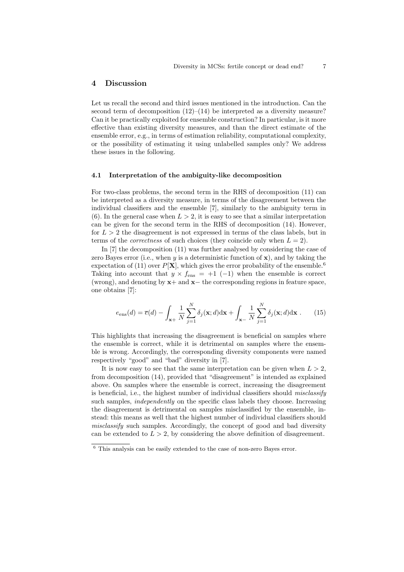### 4 Discussion

Let us recall the second and third issues mentioned in the introduction. Can the second term of decomposition  $(12)$ – $(14)$  be interpreted as a diversity measure? Can it be practically exploited for ensemble construction? In particular, is it more effective than existing diversity measures, and than the direct estimate of the ensemble error, e.g., in terms of estimation reliability, computational complexity, or the possibility of estimating it using unlabelled samples only? We address these issues in the following.

### 4.1 Interpretation of the ambiguity-like decomposition

For two-class problems, the second term in the RHS of decomposition (11) can be interpreted as a diversity measure, in terms of the disagreement between the individual classifiers and the ensemble [7], similarly to the ambiguity term in (6). In the general case when  $L > 2$ , it is easy to see that a similar interpretation can be given for the second term in the RHS of decomposition (14). However, for  $L > 2$  the disagreement is not expressed in terms of the class labels, but in terms of the *correctness* of such choices (they coincide only when  $L = 2$ ).

In [7] the decomposition (11) was further analysed by considering the case of zero Bayes error (i.e., when  $y$  is a deterministic function of  $x$ ), and by taking the expectation of (11) over  $P[X]$ , which gives the error probability of the ensemble.<sup>6</sup> Taking into account that  $y \times f_{\text{ens}} = +1$  (-1) when the ensemble is correct (wrong), and denoting by  $x+$  and  $x-$  the corresponding regions in feature space, one obtains [7]:

$$
e_{\text{ens}}(d) = \overline{e}(d) - \int_{\mathbf{x}+} \frac{1}{N} \sum_{j=1}^{N} \delta_j(\mathbf{x}; d) d\mathbf{x} + \int_{\mathbf{x}-} \frac{1}{N} \sum_{j=1}^{N} \delta_j(\mathbf{x}; d) d\mathbf{x} .
$$
 (15)

This highlights that increasing the disagreement is beneficial on samples where the ensemble is correct, while it is detrimental on samples where the ensemble is wrong. Accordingly, the corresponding diversity components were named respectively "good" and "bad" diversity in [7].

It is now easy to see that the same interpretation can be given when  $L > 2$ . from decomposition (14), provided that "disagreement" is intended as explained above. On samples where the ensemble is correct, increasing the disagreement is beneficial, i.e., the highest number of individual classifiers should *misclassify* such samples, *independently* on the specific class labels they choose. Increasing the disagreement is detrimental on samples misclassified by the ensemble, instead: this means as well that the highest number of individual classifiers should misclassify such samples. Accordingly, the concept of good and bad diversity can be extended to  $L > 2$ , by considering the above definition of disagreement.

 $6$  This analysis can be easily extended to the case of non-zero Bayes error.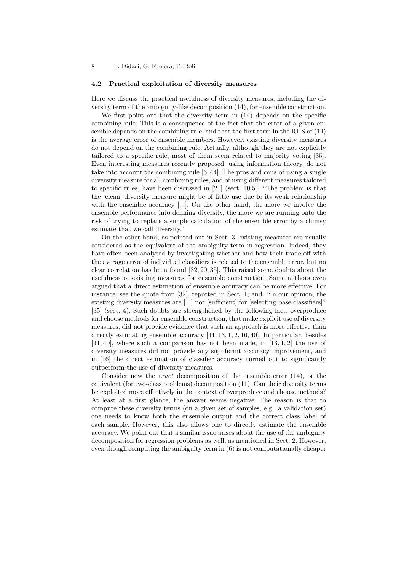### 4.2 Practical exploitation of diversity measures

Here we discuss the practical usefulness of diversity measures, including the diversity term of the ambiguity-like decomposition (14), for ensemble construction.

We first point out that the diversity term in (14) depends on the specific combining rule. This is a consequence of the fact that the error of a given ensemble depends on the combining rule, and that the first term in the RHS of (14) is the average error of ensemble members. However, existing diversity measures do not depend on the combining rule. Actually, although they are not explicitly tailored to a specific rule, most of them seem related to majority voting [35]. Even interesting measures recently proposed, using information theory, do not take into account the combining rule [6, 44]. The pros and cons of using a single diversity measure for all combining rules, and of using different measures tailored to specific rules, have been discussed in [21] (sect. 10.5): "The problem is that the 'clean' diversity measure might be of little use due to its weak relationship with the ensemble accuracy [...]. On the other hand, the more we involve the ensemble performance into defining diversity, the more we are running onto the risk of trying to replace a simple calculation of the ensemble error by a clumsy estimate that we call diversity.'

On the other hand, as pointed out in Sect. 3, existing measures are usually considered as the equivalent of the ambiguity term in regression. Indeed, they have often been analysed by investigating whether and how their trade-off with the average error of individual classifiers is related to the ensemble error, but no clear correlation has been found [32, 20, 35]. This raised some doubts about the usefulness of existing measures for ensemble construction. Some authors even argued that a direct estimation of ensemble accuracy can be more effective. For instance, see the quote from [32], reported in Sect. 1; and: "In our opinion, the existing diversity measures are [...] not [sufficient] for [selecting base classifiers]" [35] (sect. 4). Such doubts are strengthened by the following fact: overproduce and choose methods for ensemble construction, that make explicit use of diversity measures, did not provide evidence that such an approach is more effective than directly estimating ensemble accuracy [41, 13, 1, 2, 16, 40]. In particular, besides  $[41, 40]$ , where such a comparison has not been made, in  $[13, 1, 2]$  the use of diversity measures did not provide any significant accuracy improvement, and in [16] the direct estimation of classifier accuracy turned out to significantly outperform the use of diversity measures.

Consider now the exact decomposition of the ensemble error (14), or the equivalent (for two-class problems) decomposition (11). Can their diversity terms be exploited more effectively in the context of overproduce and choose methods? At least at a first glance, the answer seems negative. The reason is that to compute these diversity terms (on a given set of samples, e.g., a validation set) one needs to know both the ensemble output and the correct class label of each sample. However, this also allows one to directly estimate the ensemble accuracy. We point out that a similar issue arises about the use of the ambiguity decomposition for regression problems as well, as mentioned in Sect. 2. However, even though computing the ambiguity term in (6) is not computationally cheaper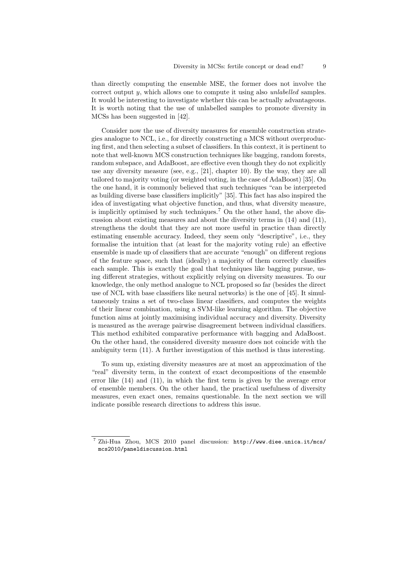than directly computing the ensemble MSE, the former does not involve the correct output y, which allows one to compute it using also *unlabelled* samples. It would be interesting to investigate whether this can be actually advantageous. It is worth noting that the use of unlabelled samples to promote diversity in MCSs has been suggested in [42].

Consider now the use of diversity measures for ensemble construction strategies analogue to NCL, i.e., for directly constructing a MCS without overproducing first, and then selecting a subset of classifiers. In this context, it is pertinent to note that well-known MCS construction techniques like bagging, random forests, random subspace, and AdaBoost, are effective even though they do not explicitly use any diversity measure (see, e.g., [21], chapter 10). By the way, they are all tailored to majority voting (or weighted voting, in the case of AdaBoost) [35]. On the one hand, it is commonly believed that such techniques "can be interpreted as building diverse base classifiers implicitly" [35]. This fact has also inspired the idea of investigating what objective function, and thus, what diversity measure, is implicitly optimised by such techniques.<sup>7</sup> On the other hand, the above discussion about existing measures and about the diversity terms in (14) and (11), strengthens the doubt that they are not more useful in practice than directly estimating ensemble accuracy. Indeed, they seem only "descriptive", i.e., they formalise the intuition that (at least for the majority voting rule) an effective ensemble is made up of classifiers that are accurate "enough" on different regions of the feature space, such that (ideally) a majority of them correctly classifies each sample. This is exactly the goal that techniques like bagging pursue, using different strategies, without explicitly relying on diversity measures. To our knowledge, the only method analogue to NCL proposed so far (besides the direct use of NCL with base classifiers like neural networks) is the one of [45]. It simultaneously trains a set of two-class linear classifiers, and computes the weights of their linear combination, using a SVM-like learning algorithm. The objective function aims at jointly maximising individual accuracy and diversity. Diversity is measured as the average pairwise disagreement between individual classifiers. This method exhibited comparative performance with bagging and AdaBoost. On the other hand, the considered diversity measure does not coincide with the ambiguity term (11). A further investigation of this method is thus interesting.

To sum up, existing diversity measures are at most an approximation of the "real" diversity term, in the context of exact decompositions of the ensemble error like (14) and (11), in which the first term is given by the average error of ensemble members. On the other hand, the practical usefulness of diversity measures, even exact ones, remains questionable. In the next section we will indicate possible research directions to address this issue.

<sup>7</sup> Zhi-Hua Zhou, MCS 2010 panel discussion: http://www.diee.unica.it/mcs/ mcs2010/paneldiscussion.html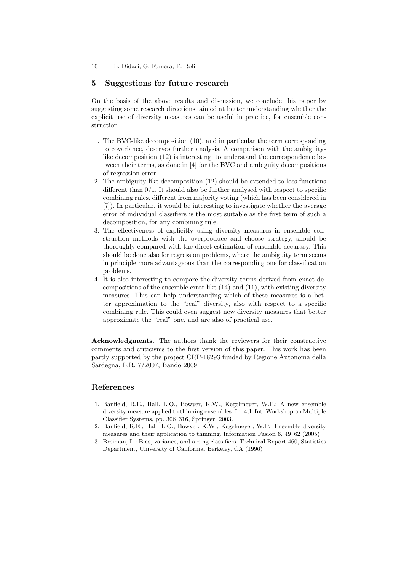### 5 Suggestions for future research

On the basis of the above results and discussion, we conclude this paper by suggesting some research directions, aimed at better understanding whether the explicit use of diversity measures can be useful in practice, for ensemble construction.

- 1. The BVC-like decomposition (10), and in particular the term corresponding to covariance, deserves further analysis. A comparison with the ambiguitylike decomposition (12) is interesting, to understand the correspondence between their terms, as done in [4] for the BVC and ambiguity decompositions of regression error.
- 2. The ambiguity-like decomposition (12) should be extended to loss functions different than  $0/1$ . It should also be further analysed with respect to specific combining rules, different from majority voting (which has been considered in [7]). In particular, it would be interesting to investigate whether the average error of individual classifiers is the most suitable as the first term of such a decomposition, for any combining rule.
- 3. The effectiveness of explicitly using diversity measures in ensemble construction methods with the overproduce and choose strategy, should be thoroughly compared with the direct estimation of ensemble accuracy. This should be done also for regression problems, where the ambiguity term seems in principle more advantageous than the corresponding one for classification problems.
- 4. It is also interesting to compare the diversity terms derived from exact decompositions of the ensemble error like (14) and (11), with existing diversity measures. This can help understanding which of these measures is a better approximation to the "real" diversity, also with respect to a specific combining rule. This could even suggest new diversity measures that better approximate the "real" one, and are also of practical use.

Acknowledgments. The authors thank the reviewers for their constructive comments and criticisms to the first version of this paper. This work has been partly supported by the project CRP-18293 funded by Regione Autonoma della Sardegna, L.R. 7/2007, Bando 2009.

# References

- 1. Banfield, R.E., Hall, L.O., Bowyer, K.W., Kegelmeyer, W.P.: A new ensemble diversity measure applied to thinning ensembles. In: 4th Int. Workshop on Multiple Classifier Systems, pp. 306–316, Springer, 2003.
- 2. Banfield, R.E., Hall, L.O., Bowyer, K.W., Kegelmeyer, W.P.: Ensemble diversity measures and their application to thinning. Information Fusion 6, 49–62 (2005)
- 3. Breiman, L.: Bias, variance, and arcing classifiers. Technical Report 460, Statistics Department, University of California, Berkeley, CA (1996)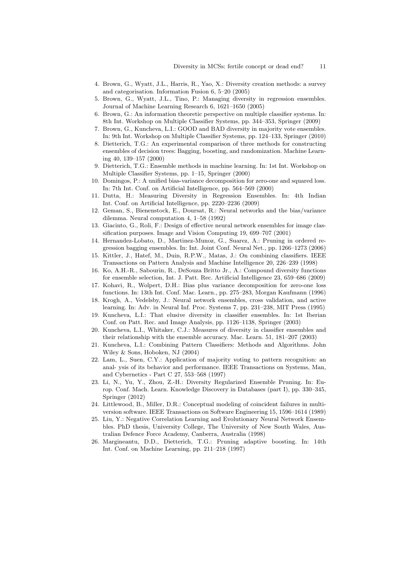- 4. Brown, G., Wyatt, J.L., Harris, R., Yao, X.: Diversity creation methods: a survey and categorisation. Information Fusion 6, 5–20 (2005)
- 5. Brown, G., Wyatt, J.L., Tino, P.: Managing diversity in regression ensembles. Journal of Machine Learning Research 6, 1621–1650 (2005)
- 6. Brown, G.: An information theoretic perspective on multiple classifier systems. In: 8th Int. Workshop on Multiple Classifier Systems, pp. 344–353, Springer (2009)
- 7. Brown, G., Kuncheva, L.I.: GOOD and BAD diversity in majority vote ensembles. In: 9th Int. Workshop on Multiple Classifier Systems, pp. 124–133, Springer (2010)
- 8. Dietterich, T.G.: An experimental comparison of three methods for constructing ensembles of decision trees: Bagging, boosting, and randomization. Machine Learning 40, 139–157 (2000)
- 9. Dietterich, T.G.: Ensemble methods in machine learning. In: 1st Int. Workshop on Multiple Classifier Systems, pp. 1–15, Springer (2000)
- 10. Domingos, P.: A unified bias-variance decomposition for zero-one and squared loss. In: 7th Int. Conf. on Artificial Intelligence, pp. 564–569 (2000)
- 11. Dutta, H.: Measuring Diversity in Regression Ensembles. In: 4th Indian Int. Conf. on Artificial Intelligence, pp. 2220–2236 (2009)
- 12. Geman, S., Bienenstock, E., Doursat, R.: Neural networks and the bias/variance dilemma. Neural computation 4, 1–58 (1992)
- 13. Giacinto, G., Roli, F.: Design of effective neural network ensembles for image classification purposes. Image and Vision Computing 19, 699–707 (2001)
- 14. Hernandez-Lobato, D., Martinez-Munoz, G., Suarez, A.: Pruning in ordered regression bagging ensembles. In: Int. Joint Conf. Neural Net., pp. 1266–1273 (2006)
- 15. Kittler, J., Hatef, M., Duin, R.P.W., Matas, J.: On combining classifiers. IEEE Transactions on Pattern Analysis and Machine Intelligence 20, 226–239 (1998)
- 16. Ko, A.H.-R., Sabourin, R., DeSouza Britto Jr., A.: Compound diversity functions for ensemble selection, Int. J. Patt. Rec. Artificial Intelligence 23, 659–686 (2009)
- 17. Kohavi, R., Wolpert, D.H.: Bias plus variance decomposition for zero-one loss functions. In: 13th Int. Conf. Mac. Learn., pp. 275–283, Morgan Kaufmann (1996)
- 18. Krogh, A., Vedelsby, J.: Neural network ensembles, cross validation, and active learning. In: Adv. in Neural Inf. Proc. Systems 7, pp. 231–238, MIT Press (1995)
- 19. Kuncheva, L.I.: That elusive diversity in classifier ensembles. In: 1st Iberian Conf. on Patt. Rec. and Image Analysis, pp. 1126–1138, Springer (2003)
- 20. Kuncheva, L.I., Whitaker, C.J.: Measures of diversity in classifier ensembles and their relationship with the ensemble accuracy. Mac. Learn. 51, 181–207 (2003)
- 21. Kuncheva, L.I.: Combining Pattern Classifiers: Methods and Algorithms. John Wiley & Sons, Hoboken, NJ (2004)
- 22. Lam, L., Suen, C.Y.: Application of majority voting to pattern recognition: an anal- ysis of its behavior and performance. IEEE Transactions on Systems, Man, and Cybernetics - Part C 27, 553–568 (1997)
- 23. Li, N., Yu, Y., Zhou, Z.-H.: Diversity Regularized Ensemble Pruning. In: Europ. Conf. Mach. Learn. Knowledge Discovery in Databases (part I), pp. 330–345, Springer (2012)
- 24. Littlewood, B., Miller, D.R.: Conceptual modeling of coincident failures in multiversion software. IEEE Transactions on Software Engineering 15, 1596–1614 (1989)
- 25. Liu, Y.: Negative Correlation Learning and Evolutionary Neural Network Ensembles. PhD thesis, University College, The University of New South Wales, Australian Defence Force Academy, Canberra, Australia (1998)
- 26. Margineantu, D.D., Dietterich, T.G.: Pruning adaptive boosting. In: 14th Int. Conf. on Machine Learning, pp. 211–218 (1997)